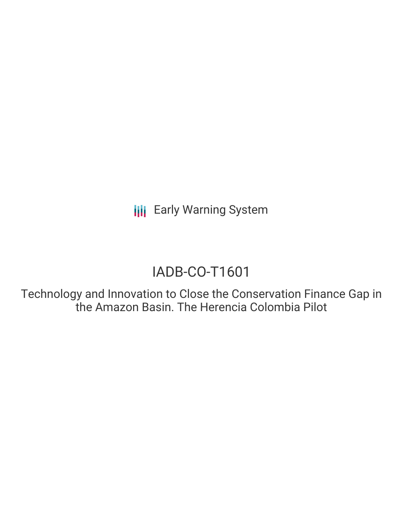**III** Early Warning System

# IADB-CO-T1601

Technology and Innovation to Close the Conservation Finance Gap in the Amazon Basin. The Herencia Colombia Pilot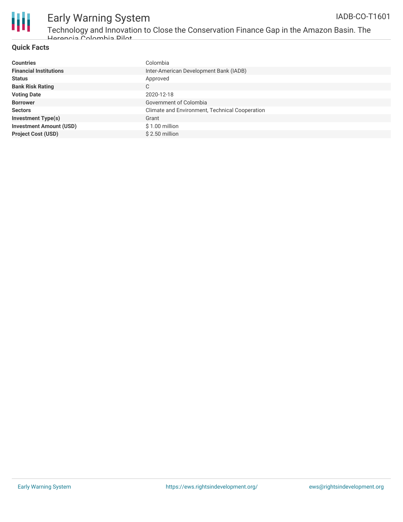

## Early Warning System

Technology and Innovation to Close the Conservation Finance Gap in the Amazon Basin. The Herencia Colombia Pilot

### **Quick Facts**

| <b>Countries</b>               | Colombia                                       |
|--------------------------------|------------------------------------------------|
| <b>Financial Institutions</b>  | Inter-American Development Bank (IADB)         |
| <b>Status</b>                  | Approved                                       |
| <b>Bank Risk Rating</b>        | C                                              |
| <b>Voting Date</b>             | 2020-12-18                                     |
| <b>Borrower</b>                | Government of Colombia                         |
| <b>Sectors</b>                 | Climate and Environment, Technical Cooperation |
| <b>Investment Type(s)</b>      | Grant                                          |
| <b>Investment Amount (USD)</b> | $$1.00$ million                                |
| <b>Project Cost (USD)</b>      | \$2.50 million                                 |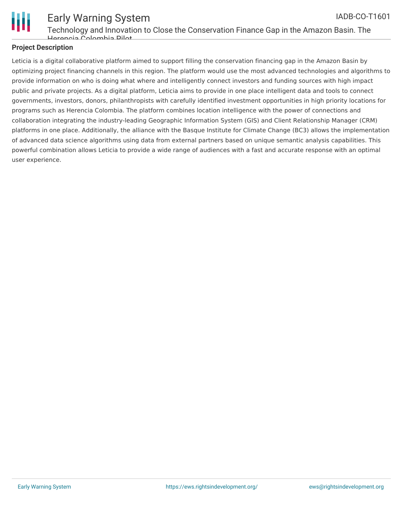

#### Early Warning System Technology and Innovation to Close the Conservation Finance Gap in the Amazon Basin. The Herencia Colombia Pilot IADB-CO-T1601

#### **Project Description**

Leticia is a digital collaborative platform aimed to support filling the conservation financing gap in the Amazon Basin by optimizing project financing channels in this region. The platform would use the most advanced technologies and algorithms to provide information on who is doing what where and intelligently connect investors and funding sources with high impact public and private projects. As a digital platform, Leticia aims to provide in one place intelligent data and tools to connect governments, investors, donors, philanthropists with carefully identified investment opportunities in high priority locations for programs such as Herencia Colombia. The platform combines location intelligence with the power of connections and collaboration integrating the industry-leading Geographic Information System (GIS) and Client Relationship Manager (CRM) platforms in one place. Additionally, the alliance with the Basque Institute for Climate Change (BC3) allows the implementation of advanced data science algorithms using data from external partners based on unique semantic analysis capabilities. This powerful combination allows Leticia to provide a wide range of audiences with a fast and accurate response with an optimal user experience.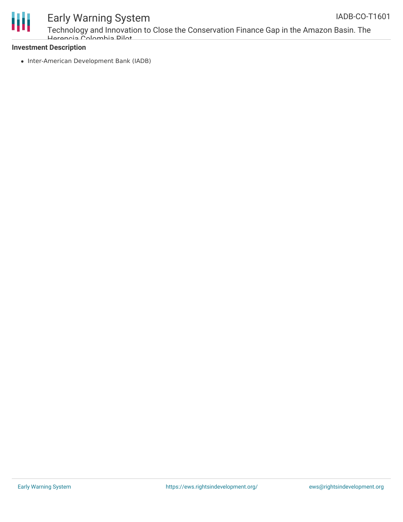



### Early Warning System

Technology and Innovation to Close the Conservation Finance Gap in the Amazon Basin. The Herencia Colombia Pilot

#### **Investment Description**

• Inter-American Development Bank (IADB)